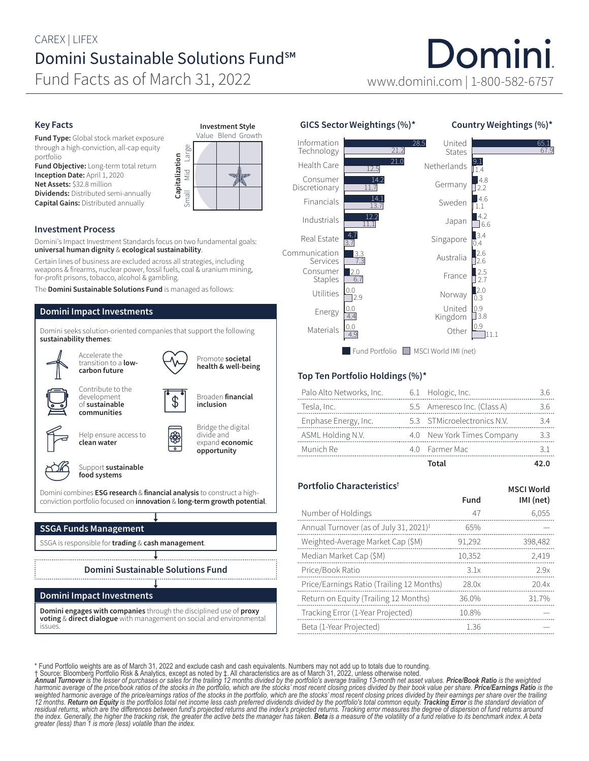# CAREX | LIFEX Domini Sustainable Solutions Fund<sup>sM</sup>

Fund Facts as of March 31, 2022 www.domini.com | 1-800-582-6757

## Key Facts

Fund Type: Global stock market exposure through a high-conviction, all-cap equity portfolio

Fund Objective: Long-term total return Inception Date: April 1, 2020 Net Assets: \$32.8 million

Dividends: Distributed semi-annually Capital Gains: Distributed annually



### Investment Process

Domini's Impact Investment Standards focus on two fundamental goals: universal human dignity & ecological sustainability.

Certain lines of business are excluded across all strategies, including weapons & firearms, nuclear power, fossil fuels, coal & uranium mining, for-profit prisons, tobacco, alcohol & gambling.

The Domini Sustainable Solutions Fund is managed as follows:

### Domini Impact Investments

Domini seeks solution-oriented companies that support the following sustainability themes:



Domini Impact Investments

Domini engages with companies through the disciplined use of proxy voting & direct dialogue with management on social and environmental issues.

# GICS Sector Weightings (%)\*

#### Country Weightings (%)\*

Domini

MSCI World



#### Top Ten Portfolio Holdings (%)\*

| Palo Alto Networks, Inc. | 6.1 Hologic, Inc.           |     |
|--------------------------|-----------------------------|-----|
| Tesla, Inc.              | 5.5 Ameresco Inc. (Class A) | 3.6 |
| Enphase Energy, Inc.     | 5.3 STMicroelectronics N.V. | 34  |
| ASML Holding N.V.        | 4.0 New York Times Company  | 3.3 |
| Munich Re                | 4.0 Farmer Mac              |     |
|                          | Total                       |     |

# Portfolio Characteristics†

| Fund   | ויו שנו שיטונט<br>IMI (net) |
|--------|-----------------------------|
| 47     | 6,055                       |
| 65%    |                             |
| 91,292 | 398,482                     |
| 10,352 | 2,419                       |
| 3.1x   | 2.9x                        |
| 28.0x  | 20.4x                       |
| 36.0%  | 31.7%                       |
| 10.8%  |                             |
| 1.36   |                             |
|        |                             |

\* Fund Portfolio weights are as of March 31, 2022 and exclude cash and cash equivalents. Numbers may not add up to totals due to rounding.<br>1 Source: Bloomberg Portfolio Risk & Analytics, except as noted by 1. All character *12 months. Return on Equity is the portfolios total net income less cash preferred dividends divided by the portfolio's total common equity. Tracking Error is the standard deviation of*  residual returns, which are the differences between fund's projected returns and the index's projected returns. Tracking error measures the degree of dispersion of fund returns around<br>the index. Generally, the higher the t